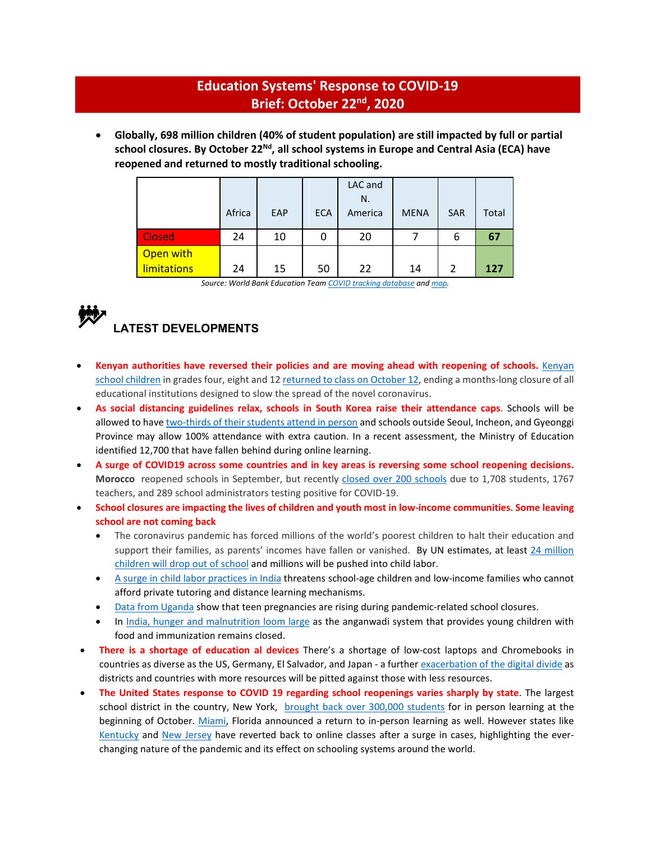# **Education Systems' Response to COVID-19 Brief: October 22nd, 2020**

• **Globally, 698 million children (40% of student population) are still impacted by full or partial** school closures. By October 22<sup>Nd</sup>, all school systems in Europe and Central Asia (ECA) have **reopened and returned to mostly traditional schooling.**

|                    | Africa | EAP | <b>ECA</b> | LAC and<br>N.<br>America | <b>MENA</b> | <b>SAR</b>     | Total |
|--------------------|--------|-----|------------|--------------------------|-------------|----------------|-------|
| Closed             | 24     | 10  | 0          | 20                       |             | 6              | 67    |
| Open with          |        |     |            |                          |             |                |       |
| <b>limitations</b> | 24     | 15  | 50         | 22                       | 14          | $\mathfrak{p}$ | 127   |

*Source: World Bank Education Tea[m COVID tracking database](https://worldbankgroup-my.sharepoint.com/:x:/g/personal/tshmis_worldbank_org/EehfzqvLAm5CkGYQliGgCRQBmZg3meDaj5ZnpU4URJDX-g?e=bg0hMT) and [map.](https://tab.worldbank.org/#/site/WBG/views/covid19/dsh_simple?:showAppBanner=false&:display_count=n&:showVizHome=n&:origin=viz_share_link&:iid=1)* 

# **LATEST DEVELOPMENTS**

- **Kenyan authorities have reversed their policies and are moving ahead with reopening of schools.** [Kenyan](https://www.reuters.com/article/healthcoronavirus-kenya-schools-idUSL8N2H106G)  [school children](https://www.reuters.com/article/healthcoronavirus-kenya-schools-idUSL8N2H106G) in grades four, eight and 12 [returned to class on October 12,](https://www.unicef.org/kenya/press-releases/UNICEF-welcomes-schools-reopening-in-Kenya) ending a months-long closure of all educational institutions designed to slow the spread of the novel coronavirus.
- **As social distancing guidelines relax, schools in South Korea raise their attendance caps**. Schools will be allowed to hav[e two-thirds of their students attend in person](http://www.koreaherald.com/view.php?ud=20201012000763) and schools outside Seoul, Incheon, and Gyeonggi Province may allow 100% attendance with extra caution. In a recent assessment, the Ministry of Education identified 12,700 that have fallen behind during online learning.
- **A surge of COVID19 across some countries and in key areas is reversing some school reopening decisions. Morocco** reopened schools in September, but recently [closed over 200](https://www.bladi.net/ecoles-maroc-fermees-coronavirus,74954.html) schools due to 1,708 students, 1767 teachers, and 289 school administrators testing positive for COVID-19.
- **School closures are impacting the lives of children and youth most in low-income communities**. **Some leaving school are not coming back**
	- The coronavirus pandemic has forced millions of the world's poorest children to halt their education and support their families, as parents' incomes have fallen or vanished. By UN estimates, at least 24 million [children will drop out of school](https://www.thehindu.com/news/international/covid-19-pandemic-created-largest-disruption-of-education-in-history-un/article32265660.ece) and [millions will be pushed into child labor.](https://www.unicef.org/press-releases/covid-19-may-push-millions-more-children-child-labour-ilo-and-unicef)
	- [A surge in child labor practices in India](https://www.nytimes.com/2020/09/27/world/asia/covid-19-india-children-school-education-labor.html) threatens school-age children and low-income families who cannot afford private tutoring and distance learning mechanisms.
	- [Data from Uganda](https://globalgirlsglow.org/the-consequences-of-covid-19-for-girls-in-uganda/) show that teen pregnancies are rising during pandemic-related school closures.
	- In [India, hunger and malnutrition loom large](https://scroll.in/article/972732/hunger-and-malnutrition-loom-large-over-india-as-anganwadis-stay-shut-amid-coronavirus-pandemic) as the anganwadi system that provides young children with food and immunization remains closed.
- **There is a shortage of education al devices** There's a shortage of low-cost laptops and Chromebooks in countries as diverse as the US, Germany, El Salvador, and Japan - a further [exacerbation of the digital divide](https://www.nytimes.com/2020/10/12/technology/laptops-schools-digital-divide.html?action=click&block=&campaign_id=174&emc=edit_csb_20201014&impression_id=80a26010-0d72-11eb-8451-61e70051770d&instance_id=23128&label=remote-learning&module=hub_Band&name=undefined&nl=coronavirus-schools-briefing&pgtype=LegacyCollection®i_id=140284942®ion=inline&segment_id=40983&te=1&user_id=f657117f3fbf8484d274d38b7eb35187) as districts and countries with more resources will be pitted against those with less resources.
- **The United States response to COVID 19 regarding school reopenings varies sharply by state**. The largest school district in the country, New York, [brought back over 300,000 students](https://www.nytimes.com/live/2020/09/29/world/covid-19-coronavirus) for in person learning at the beginning of October. [Miami,](https://www.nbcmiami.com/news/local/south-florida-school-boards-to-meet-tuesday-over-reopening-dates-after-states-letter/2299526/) Florida announced a return to in-person learning as well. However states like [Kentucky](https://blogs.edweek.org/edweek/DigitalEducation/2020/08/covid-digital-district-leaders.html) and [New Jersey](https://www.nj.com/education/2020/09/nj-schools-are-canceling-in-person-instruction-and-sports-because-of-covid-19-cases-heres-the-latest-list.html) have reverted back to online classes after a surge in cases, highlighting the everchanging nature of the pandemic and its effect on schooling systems around the world.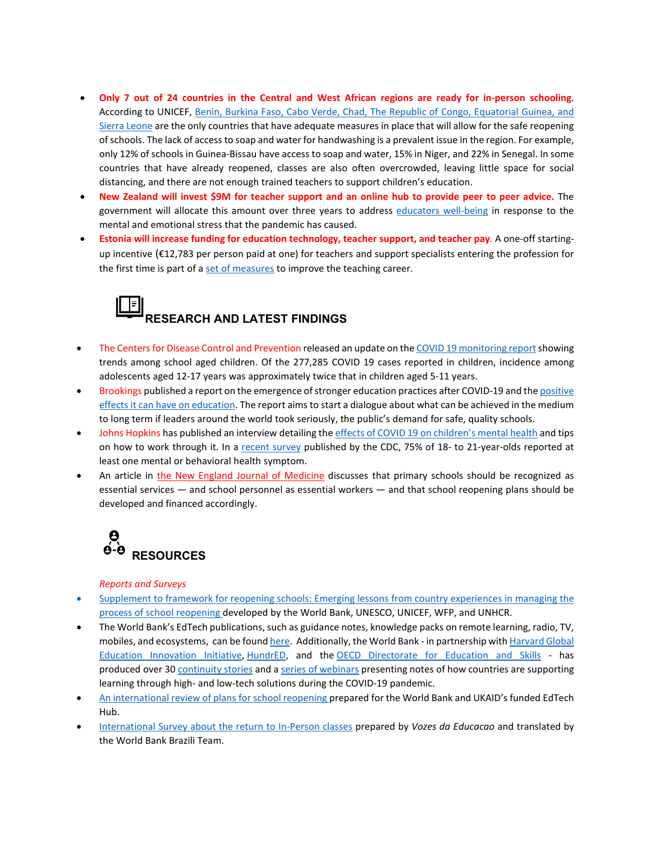- **Only 7 out of 24 countries in the Central and West African regions are ready for in-person schooling**. According to UNICEF, [Benin, Burkina Faso, Cabo Verde, Chad, The Republic of Congo, Equatorial Guinea, and](https://reliefweb.int/report/world/only-1-3-countries-ready-receive-children-safely-schools-west-and-central-africa)  [Sierra Leone](https://reliefweb.int/report/world/only-1-3-countries-ready-receive-children-safely-schools-west-and-central-africa) are the only countries that have adequate measures in place that will allow for the safe reopening of schools. The lack of access to soap and water for handwashing is a prevalent issue in the region. For example, only 12% of schools in Guinea-Bissau have access to soap and water, 15% in Niger, and 22% in Senegal. In some countries that have already reopened, classes are also often overcrowded, leaving little space for social distancing, and there are not enough trained teachers to support children's education.
- **New Zealand will invest \$9M for teacher support and an online hub to provide peer to peer advice.** The government will allocate this amount over three years to address [educators well-being](https://www.education.govt.nz/news/9m-to-support-educator-wellbeing-during-covid-19/) in response to the mental and emotional stress that the pandemic has caused.
- **Estonia will increase funding for education technology, teacher support, and teacher pay**. A one-off startingup incentive (€12,783 per person paid at one) for teachers and support specialists entering the profession for the first time is part of [a set of measures](https://news.err.ee/1140937/government-endorses-2021-state-budget-pensions-r-d-funding-to-increase) to improve the teaching career.

# **RESEARCH AND LATEST FINDINGS**

- The Centers for Disease Control and Prevention released an update on the COVID 19 monitoring report showing trends among school aged children. Of the 277,285 COVID 19 cases reported in children, incidence among adolescents aged 12-17 years was approximately twice that in children aged 5-11 years.
- Brookings published a report on the emergence of stronger education practices after COVID-19 and th[e positive](https://www.brookings.edu/research/beyond-reopening-schools-how-education-can-emerge-stronger-than-before-covid-19/)  [effects it can have on education.](https://www.brookings.edu/research/beyond-reopening-schools-how-education-can-emerge-stronger-than-before-covid-19/) The report aims to start a dialogue about what can be achieved in the medium to long term if leaders around the world took seriously, the public's demand for safe, quality schools.
- Johns Hopkins has published an interview detailing th[e effects of COVID 19 on children's](https://www.jhsph.edu/covid-19/articles/coping-with-covid-19s-evolving-mental-health-toll.html) mental health and tips on how to work through it. In a [recent survey](https://www.cdc.gov/mmwr/volumes/69/wr/mm6932a1.htm) published by the CDC, 75% of 18- to 21-year-olds reported at least one mental or behavioral health symptom.
- An article in [the New England Journal of Medicine](https://www.nejm.org/doi/full/10.1056/NEJMms2024920) discusses that primary schools should be recognized as essential services — and school personnel as essential workers — and that school reopening plans should be developed and financed accordingly.



## *Reports and Surveys*

- [Supplement to framework for reopening schools: Emerging lessons from country experiences in managing the](http://documents1.worldbank.org/curated/en/281371600700872821/Supplement-to-Framework-for-Reopening-Schools-Emerging-Lessons-from-Country-Experiences-in-Managing-the-Process-of-Reopening-Schools.pdf)  process of school reopening [developed by the World Bank, UNESCO, UNICEF, WFP, and UNHCR.](http://documents1.worldbank.org/curated/en/281371600700872821/Supplement-to-Framework-for-Reopening-Schools-Emerging-Lessons-from-Country-Experiences-in-Managing-the-Process-of-Reopening-Schools.pdf)
- The World Bank's EdTech publications, such as guidance notes, knowledge packs on remote learning, radio, TV, mobiles, and ecosystems, can be foun[d here.](https://www.worldbank.org/en/topic/edutech/brief/education-and-technology-publications) Additionally, the World Bank - in partnership wit[h Harvard Global](https://globaled.gse.harvard.edu/education-and-covid-19-pandemic)  [Education Innovation Initiative,](https://globaled.gse.harvard.edu/education-and-covid-19-pandemic) [HundrED,](https://hundred.org/en/collections/quality-education-for-all-during-coronavirus) and the [OECD Directorate for Education and Skills](https://oecdedutoday.com/coronavirus/#Framework) - has produced over 30 [continuity stories](https://www.worldbank.org/en/topic/edutech/brief/lessons-for-education-during-covid-19-crisis-continuity-stories) and [a series of webinars](https://www.worldbank.org/en/topic/edutech/brief/lessons-for-education-during-covid-19-crisis-webinars) presenting notes of how countries are supporting learning through high- and low-tech solutions during the COVID-19 pandemic.
- [An international review of plans for school reopening](https://edtechhub.org/an-international-review-of-plans-for-school-reopening/) prepared for the World Bank and UKAID's funded EdTech Hub.
- [International Survey about the return to In-Person classes](https://worldbankgroup.sharepoint.com/:p:/r/sites/Education/MCSD/_layouts/15/Doc.aspx?sourcedoc=%7B1E4259E2-3C23-4D08-996F-9FB9638370E5%7D&file=International%20Survey%20about%20the%20Return%20To%20In-Person%20Classes.pptx&action=edit&mobileredirect=true&cid=fc15f731-1218-4f18-a592-c3c80c325faa) prepared by *Vozes da Educacao* and translated by the World Bank Brazili Team.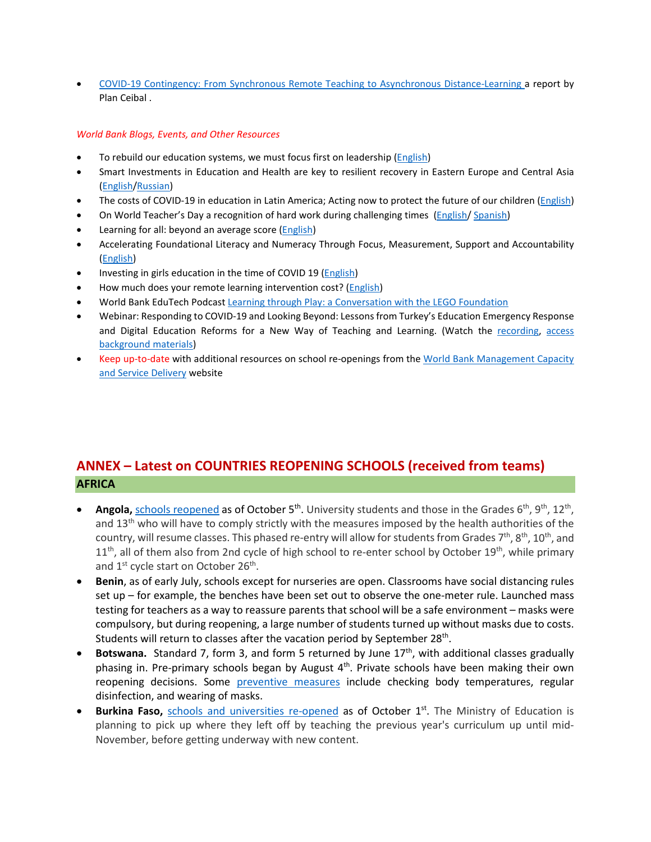• [COVID-19 Contingency: From Synchronous Remote Teaching to Asynchronous Distance-Learning](https://ingles.ceibal.edu.uy/storage/app/uploads/public/5f8/753/100/5f87531002d4d948088567.pdf) a report by Plan Ceibal .

# *World Bank Blogs, Events, and Other Resources*

- To rebuild our education systems, we must focus first on leadership [\(English\)](https://blogs.worldbank.org/education/rebuild-our-education-systems-we-must-focus-first-leadership)
- Smart Investments in Education and Health are key to resilient recovery in Eastern Europe and Central Asia [\(English/](https://blogs.worldbank.org/voices/smart-investments-health-education-key-resilient-recovery-emerging-europe-central-asia)[Russian\)](https://blogs.worldbank.org/ru/voices/smart-investments-health-education-key-resilient-recovery-emerging-europe-central-asia)
- The costs of COVID-19 in education in Latin America; Acting now to protect the future of our children [\(English\)](https://blogs.worldbank.org/education/costs-covid-19-education-latin-america-acting-now-protect-future-our-children)
- On World Teacher's Day a recognition of hard work during challenging times [\(English/](https://blogs.worldbank.org/education/world-teachers-day-recognition-hard-work-during-challenging-times) [Spanish\)](https://blogs.worldbank.org/es/education/en-el-dia-mundial-de-los-docentes-un-reconocimiento-su-arduo-trabajo-en-tiempos-dificiles)
- Learning for all: beyond an average score [\(English\)](https://blogs.worldbank.org/education/learning-all-beyond-average-score)
- Accelerating Foundational Literacy and Numeracy Through Focus, Measurement, Support and Accountability [\(English\)](https://blogs.worldbank.org/education/accelerating-foundational-literacy-and-numeracy-through-focus-measurement-support-and)
- Investing in girls education in the time of COVID 19 [\(English\)](https://blogs.worldbank.org/opendata/investing-girls-education-time-covid-19)
- How much does your remote learning intervention cost? [\(English\)](https://blogs.worldbank.org/impactevaluations/how-much-does-your-remote-learning-intervention-cost)
- World Bank EduTech Podcas[t Learning through Play: a Conversation with the LEGO Foundation](https://podcasts.apple.com/us/podcast/learning-through-play-conversation-lego-foundation/id1523333192?i=1000494888341)
- Webinar: Responding to COVID-19 and Looking Beyond: Lessons from Turkey's Education Emergency Response and Digital Education Reforms for a New Way of Teaching and Learning. (Watch the [recording,](https://www.facebook.com/watch/live/?v=1037554286758397&ref=watch_permalink) [access](https://www.worldbank.org/en/events/2020/09/24/responding-to-covid-19-looking-beyond-lessons-from-turkeys-education-emergency-response-digital-education-reforms-for-new-way-of-teaching-learning#2)  [background materials\)](https://www.worldbank.org/en/events/2020/09/24/responding-to-covid-19-looking-beyond-lessons-from-turkeys-education-emergency-response-digital-education-reforms-for-new-way-of-teaching-learning#2)
- Keep up-to-date with additional resources on school re-openings from the [World Bank Management Capacity](https://worldbankgroup.sharepoint.com/sites/Education/MCSD/Pages/COVID19-05182020-144709.aspx)  [and Service Delivery](https://worldbankgroup.sharepoint.com/sites/Education/MCSD/Pages/COVID19-05182020-144709.aspx) website

# **ANNEX – Latest on COUNTRIES REOPENING SCHOOLS (received from teams) AFRICA**

- **Angola,** [schools reopened](http://www.angop.ao/angola/en_us/noticias/educacao/2020/9/41/Students-back-school-today,544b6c75-b29e-464a-a525-4f546eecc706.html) as of October 5<sup>th</sup>. University students and those in the Grades 6<sup>th</sup>, 9<sup>th</sup>, 12<sup>th</sup>, and 13<sup>th</sup> who will have to comply strictly with the measures imposed by the health authorities of the country, will resume classes. This phased re-entry will allow for students from Grades  $7<sup>th</sup>$ ,  $8<sup>th</sup>$ ,  $10<sup>th</sup>$ , and  $11<sup>th</sup>$ , all of them also from 2nd cycle of high school to re-enter school by October  $19<sup>th</sup>$ , while primary and 1<sup>st</sup> cycle start on October 26<sup>th</sup>.
- **Benin**, as of early July, schools except for nurseries are open. Classrooms have social distancing rules set up – for example, the benches have been set out to observe the one-meter rule. Launched mass testing for teachers as a way to reassure parents that school will be a safe environment – masks were compulsory, but during reopening, a large number of students turned up without masks due to costs. Students will return to classes after the vacation period by September 28<sup>th</sup>.
- **Botswana.** Standard 7, form 3, and form 5 returned by June 17<sup>th</sup>, with additional classes gradually phasing in. Pre-primary schools began by August  $4<sup>th</sup>$ . Private schools have been making their own reopening decisions. Some [preventive measures](https://www.bbc.com/news/topics/c77jz3mdqypt/botswana) include checking body temperatures, regular disinfection, and wearing of masks.
- **Burkina Faso,** [schools and universities re-opened](https://www.africanews.com/2020/10/02/covid-19-schools-and-universities-reopen-in-burkina-faso-after-six-month-closure/) as of October 1<sup>st</sup>. The Ministry of Education is planning to pick up where they left off by teaching the previous year's curriculum up until mid-November, before getting underway with new content.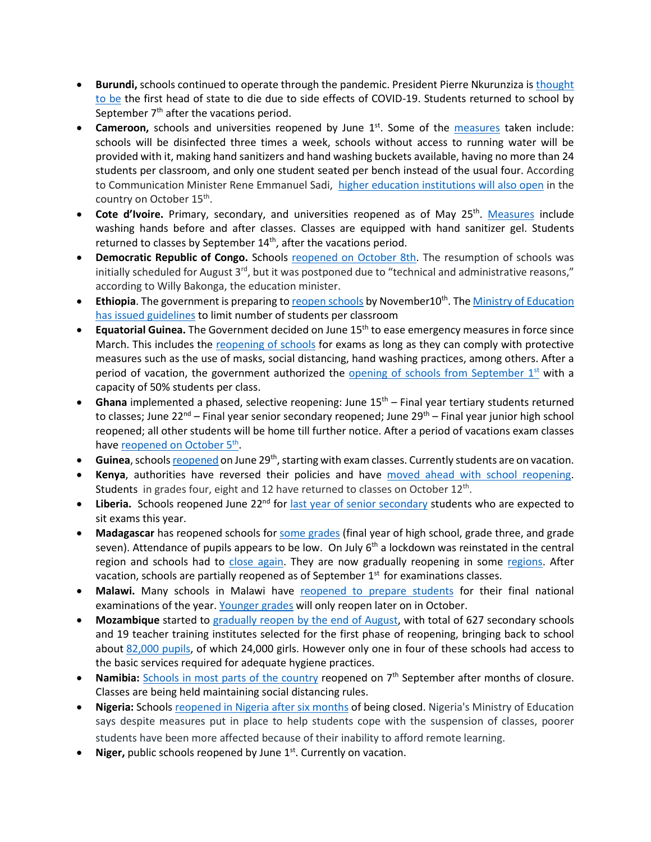- **Burundi,** schools continued to operate through the pandemic. President Pierre Nkurunziza is [thought](https://www.ft.com/content/a232c62b-ded1-4dd4-8ca7-a5bb5214987f)  [to be](https://www.ft.com/content/a232c62b-ded1-4dd4-8ca7-a5bb5214987f) the first head of state to die due to side effects of COVID-19. Students returned to school by September 7<sup>th</sup> after the vacations period.
- **Cameroon,** schools and universities reopened by June 1<sup>st</sup>. Some of the [measures](https://www.voanews.com/africa/cameroon-opens-schools-amid-covid-19-spike) taken include: schools will be disinfected three times a week, schools without access to running water will be provided with it, making hand sanitizers and hand washing buckets available, having no more than 24 students per classroom, and only one student seated per bench instead of the usual four. According to Communication Minister Rene Emmanuel Sadi, [higher education institutions will also open](https://africa.cgtn.com/2020/10/05/schools-reopen-in-cameroon-after-seven-months-of-closure/) in the country on October 15<sup>th</sup>.
- **Cote d'Ivoire.** Primary, secondary, and universities reopened as of May 25<sup>th</sup>. [Measures](https://www.reuters.com/article/us-health-coronavirus-ivorycoast-educati/ivory-coast-children-head-back-to-school-after-virus-shutdown-idUSKBN2311FC) include washing hands before and after classes. Classes are equipped with hand sanitizer gel. Students returned to classes by September  $14<sup>th</sup>$ , after the vacations period.
- **Democratic Republic of Congo.** Schools [reopened on October 8th.](https://www.aa.com.tr/en/africa/schools-reopen-in-dr-congo-amid-covid-19/1937210) The resumption of schools was initially scheduled for August  $3<sup>rd</sup>$ , but it was postponed due to "technical and administrative reasons," according to Willy Bakonga, the education minister.
- **Ethiopia**. The government is preparing t[o reopen schools](https://allafrica.com/stories/202009300268.html) by November10<sup>th</sup>. The Ministry of Education [has issued guidelines](https://allafrica.com/stories/202009100812.html) to limit number of students per classroom
- **Equatorial Guinea.** The Government decided on June 15th to ease emergency measures in force since March. This includes the [reopening of schools](https://www.africanews.com/2020/06/17/legal-alert-understanding-the-dos-and-donts-of-equatorial-guineas-deconfinement-measures/) for exams as long as they can comply with protective measures such as the use of masks, social distancing, hand washing practices, among others. After a period of vacation, the government authorized the opening of schools from September  $1<sup>st</sup>$  with a capacity of 50% students per class.
- **Ghana** implemented a phased, selective reopening: June 15<sup>th</sup> Final year tertiary students returned to classes; June 22<sup>nd</sup> – Final year senior secondary reopened; June 29<sup>th</sup> – Final year junior high school reopened; all other students will be home till further notice. After a period of vacations exam classes have [reopened on October](http://www.xinhuanet.com/english/2020-10/05/c_139420540.htm) 5<sup>th</sup>.
- **Guinea**, schools **reopened** on June 29<sup>th</sup>, starting with exam classes. Currently students are on vacation.
- **Kenya**, authorities have reversed their policies and have [moved ahead with school reopening.](https://www.unicef.org/kenya/press-releases/UNICEF-welcomes-schools-reopening-in-Kenya) Students in grades four, eight and 12 have returned to classes on October 12<sup>th</sup>.
- Liberia. Schools reopened June 22<sup>nd</sup> for [last year of senior secondary](https://allafrica.com/stories/202007170728.html) students who are expected to sit exams this year.
- **Madagascar** has reopened schools for [some grades](https://reliefweb.int/sites/reliefweb.int/files/resources/UNICEF%20Madagascar%20COVID-19%20Situation%20Report%20for%207%20July%202020.pdf) (final year of high school, grade three, and grade seven). Attendance of pupils appears to be low. On July  $6<sup>th</sup>$  a lockdown was reinstated in the central region and schools had to [close again.](https://www.cnn.com/2020/07/06/africa/madagascar-lockdown-coronavirus-intl/index.html) They are now gradually reopening in some [regions.](https://reliefweb.int/report/madagascar/madagascar-country-office-covid-19-response-13-august-2020) After vacation, schools are partially reopened as of September  $1<sup>st</sup>$  for examinations classes.
- Malawi. Many schools in Malawi have [reopened to prepare students](https://www.bignewsnetwork.com/news/266346433/feature-malawian-students-back-to-school-under-strict-covid-19-measures) for their final national examinations of the year[. Younger grades](https://www.aa.com.tr/en/africa/covid-19-malawi-to-reopen-schools-sept-7/1955757) will only reopen later on in October.
- **Mozambique** started to [gradually reopen by the end of August,](https://blogs.worldbank.org/water/times-covid-19-future-education-depends-provision-water-sanitation-and-hygiene-services) with total of 627 secondary schools and 19 teacher training institutes selected for the first phase of reopening, bringing back to school about [82,000 pupils,](http://www.mined.gov.mz/STATS/Pages/3Marco.aspx) of which 24,000 girls. However only one in four of these schools had access to the basic services required for adequate hygiene practices.
- Namibia: [Schools in most parts of the country](https://www.aa.com.tr/en/africa/schools-reopen-in-namibia-after-months/1965648) reopened on 7<sup>th</sup> September after months of closure. Classes are being held maintaining social distancing rules.
- **Nigeria:** School[s reopened in Nigeria after six months](https://www.voanews.com/africa/nigeria-government-calls-reopening-schools-after-6-month-covid-lockdown) of being closed. Nigeria's Ministry of Education says despite measures put in place to help students cope with the suspension of classes, poorer students have been more affected because of their inability to afford remote learning.
- **Niger, public schools reopened by June 1st. Currently on vacation.**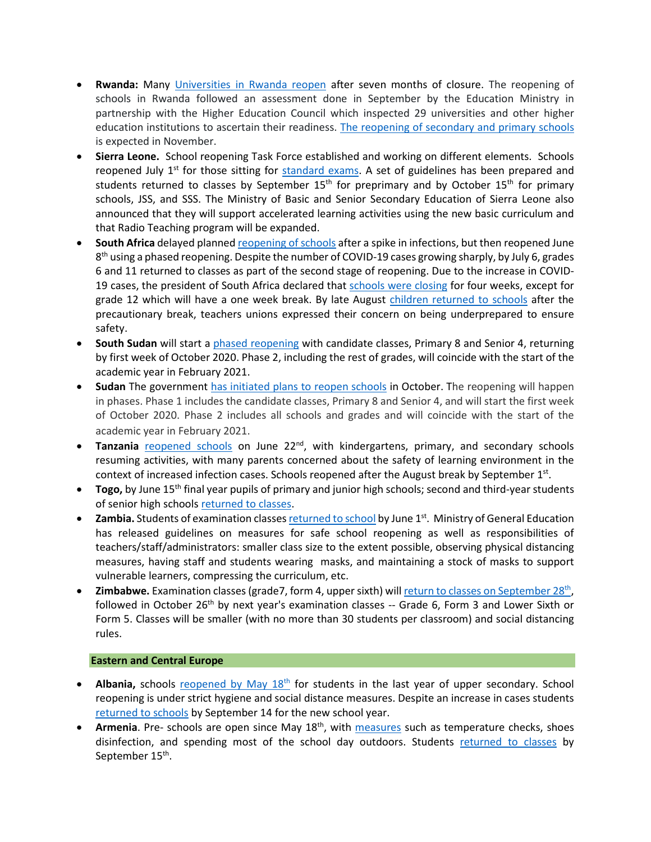- **Rwanda:** Many [Universities in Rwanda reopen](https://www.aa.com.tr/en/africa/schools-reopen-in-kenya-rwanda-dr-congo/2003919) after seven months of closure. The reopening of schools in Rwanda followed an assessment done in September by the Education Ministry in partnership with the Higher Education Council which inspected 29 universities and other higher education institutions to ascertain their readiness. [The reopening of secondary and primary schools](https://www.aa.com.tr/en/africa/schools-reopen-in-kenya-rwanda-dr-congo/2003919) is expected in November.
- **Sierra Leone.** School reopening Task Force established and working on different elements. Schools reopened July  $1<sup>st</sup>$  for those sitting for [standard exams.](http://slconcordtimes.com/opinion-20/) A set of guidelines has been prepared and students returned to classes by September 15<sup>th</sup> for preprimary and by October 15<sup>th</sup> for primary schools, JSS, and SSS. The Ministry of Basic and Senior Secondary Education of Sierra Leone also announced that they will support accelerated learning activities using the new basic curriculum and that Radio Teaching program will be expanded.
- **South Africa** delayed planne[d reopening of schools](https://medicalxpress.com/news/2020-07-south-africa-phase-reopening-schools.html) after a spike in infections, but then reopened June  $8<sup>th</sup>$  using a phased reopening. Despite the number of COVID-19 cases growing sharply, by July 6, grades 6 and 11 returned to classes as part of the second stage of reopening. Due to the increase in COVID19 cases, the president of South Africa declared tha[t schools were closing](https://www.voanews.com/covid-19-pandemic/south-africa-schools-close-4-weeks-curb-coronavirus) for four weeks, except for grade 12 which will have a one week break. By late August [children returned](https://www.aa.com.tr/en/africa/south-africa-teachers-voice-concern-as-schools-reopen/1952118) to schools after the precautionary break, teachers unions expressed their concern on being underprepared to ensure safety.
- **South Sudan** will start a [phased reopening](https://reliefweb.int/report/south-sudan/unicef-and-unesco-welcome-decision-reopen-schools-south-sudan) with candidate classes, Primary 8 and Senior 4, returning by first week of October 2020. Phase 2, including the rest of grades, will coincide with the start of the academic year in February 2021.
- **Sudan** The government [has initiated plans to reopen schools](https://en.unesco.org/news/unicef-and-unesco-welcome-decision-reopen-schools-south-sudan) in October. The reopening will happen in phases. Phase 1 includes the candidate classes, Primary 8 and Senior 4, and will start the first week of October 2020. Phase 2 includes all schools and grades and will coincide with the start of the academic year in February 2021.
- **Tanzania** [reopened schools](https://africa.cgtn.com/2020/06/29/tanzanian-schools-reopen-with-strict-health-guidelines/) on June 22<sup>nd</sup>, with kindergartens, primary, and secondary schools resuming activities, with many parents concerned about the safety of learning environment in the context of increased infection cases. Schools reopened after the August break by September  $1<sup>st</sup>$ .
- **Togo,** by June 15<sup>th</sup> final year pupils of primary and junior high schools; second and third-year students of senior high schools [returned to classes.](https://www.togofirst.com/en/education/1306-5718-schools-reopen-on-june-15-2020)
- **Zambia.** Students of examination classe[s returned to school](http://www.xinhuanet.com/english/2020-06/01/c_139105832.htm) by June 1<sup>st</sup>. Ministry of General Education has released guidelines on measures for safe school reopening as well as responsibilities of teachers/staff/administrators: smaller class size to the extent possible, observing physical distancing measures, having staff and students wearing masks, and maintaining a stock of masks to support vulnerable learners, compressing the curriculum, etc.
- **Zimbabwe.** Examination classes (grade7, form 4, upper sixth) will return to classes on September 28<sup>th</sup>, followed in October 26<sup>th</sup> by next year's examination classes -- Grade 6, Form 3 and Lower Sixth or Form 5. Classes will be smaller (with no more than 30 students per classroom) and social distancing rules.

# **Eastern and Central Europe**

- **Albania,** schools reopened by May 18<sup>th</sup> for students in the last year of upper secondary. School reopening is under strict hygiene and social distance measures. Despite an increase in cases students [returned to schools](https://balkaninsight.com/2020/08/20/albania-to-open-schools-in-september-despite-covid-19-risks/) by September 14 for the new school year.
- Armenia. Pre- schools are open since May 18<sup>th</sup>, with [measures](https://en.armradio.am/2020/05/20/kindergartens-in-yerevan-reopen-after-a-two-month-lockdown/) such as temperature checks, shoes disinfection, and spending most of the school day outdoors. Students [returned to classes](https://jam-news.net/armenian-schools-will-open-epidemiologists-warn-authorities-rush/) by September 15<sup>th</sup>.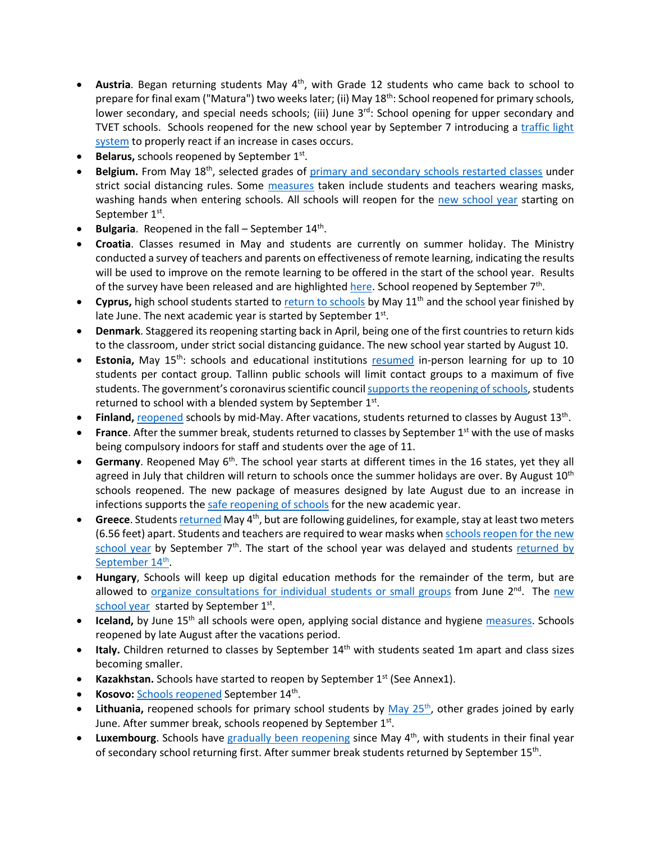- Austria. Began returning students May 4<sup>th</sup>, with Grade 12 students who came back to school to prepare for final exam ("Matura") two weeks later; (ii) May 18<sup>th</sup>: School reopened for primary schools, lower secondary, and special needs schools; (iii) June  $3^{rd}$ : School opening for upper secondary and TVET schools. Schools reopened for the new school year by September 7 introducing a [traffic light](https://www.vindobona.org/article/austria-introduces-traffic-light-system-as-schools-are-reopening)  [system](https://www.vindobona.org/article/austria-introduces-traffic-light-system-as-schools-are-reopening) to properly react if an increase in cases occurs.
- **Belarus, schools reopened by September 1st.**
- **Belgium.** From May 18<sup>th</sup>, selected grades of [primary and secondary schools restarte](https://www.politico.eu/article/belgium-lifts-its-lockdown-what-is-allowed-and-when/)d classes under strict social distancing rules. Some [measures](https://www.voanews.com/student-union/students-belgium-return-school-after-2-month-covid-break) taken include students and teachers wearing masks, washing hands when entering schools. All schools will reopen for the [new school year](https://www.politico.eu/article/coronavirus-all-belgian-schools-to-reopen-on-september-1/) starting on September 1<sup>st</sup>.
- **Bulgaria**. Reopened in the fall September 14<sup>th</sup>.
- **Croatia**. Classes resumed in May and students are currently on summer holiday. The Ministry conducted a survey of teachers and parents on effectiveness of remote learning, indicating the results will be used to improve on the remote learning to be offered in the start of the school year. Results of the survey have been released and are highlighte[d here.](https://www.croatiaweek.com/school-heads-and-teachers-in-croatia-satisfied-with-online-classes/) School reopened by September 7<sup>th</sup>.
- Cyprus, high school students started to [return to schools](https://www.weforum.org/agenda/2020/05/schools-education-lockdowns-coronavirus-covid19/) by May 11<sup>th</sup> and the school year finished by late June. The next academic year is started by September 1st.
- **Denmark**. Staggered its reopening starting back in April, being one of the first countries to return kids to the classroom, under strict social distancing guidance. The new school year started by August 10.
- **Estonia,** May 15<sup>th</sup>: schools and educational institutions [resumed](https://ee.usembassy.gov/2020-05-08-5/%20https:/www.hm.ee/en/news/estonia-offers-its-digital-education-solutions-free-support-other-countries) in-person learning for up to 10 students per contact group. Tallinn public schools will limit contact groups to a maximum of five students. The government's coronavirus scientific council [supports the reopening of schools,](https://news.err.ee/1126830/coronavirus-scientific-council-supports-reopening-schools-on-september-1) students returned to school with a blended system by September  $1<sup>st</sup>$ .
- **Finland,** [reopened](https://www.reuters.com/article/us-health-coronavirus-finland/coronavirus-infections-slow-down-in-finland-despite-schools-opening-idUSKBN23B19K) schools by mid-May. After vacations, students returned to classes by August 13th.
- **France**. After the summer break, students returned to classes by September 1<sup>st</sup> with the use of masks being compulsory indoors for staff and students over the age of 11.
- Germany. Reopened May 6<sup>th</sup>. The school year starts at different times in the 16 states, yet they all agreed in July that children will return to schools once the summer holidays are over. By August  $10^{th}$ schools reopened. The new package of measures designed by late August due to an increase in infections supports th[e safe reopening of schools](https://www.wsj.com/articles/germany-hits-pause-on-reopening-amid-rising-covid-19-infections-11598545067) for the new academic year.
- **Greece**. Student[s returned](https://www.brookings.edu/blog/order-from-chaos/2020/06/02/how-greece-can-reopen-without-ruining-its-coronavirus-containment-success/) May 4th, but are following guidelines, for example, stay at least two meters (6.56 feet) apart. Students and teachers are required to wear masks whe[n schools reopen for the new](https://www.reuters.com/article/us-health-coronavirus-greece-masks/greece-tells-students-to-wear-masks-when-schools-reopen-sept-7-idUSKBN25K1M8)  [school year](https://www.reuters.com/article/us-health-coronavirus-greece-masks/greece-tells-students-to-wear-masks-when-schools-reopen-sept-7-idUSKBN25K1M8) by September  $7<sup>th</sup>$ . The start of the school year was delayed and students returned by September 14<sup>th</sup>.
- **Hungary**, Schools will keep up digital education methods for the remainder of the term, but are allowed to [organize consultations for individual students or small groups](https://hungarytoday.hu/hungary-schools-open-coronavirus/) from June 2<sup>nd</sup>. The new [school year](https://dailynewshungary.com/hungarian-schools-to-start-in-classrooms-on-sept-1/) started by September 1st.
- **Iceland,** by June 15<sup>th</sup> all schools were open, applying social distance and hygiene [measures.](https://www.icelandreview.com/ask-ir/whats-the-status-of-covid-19-in-iceland/) Schools reopened by late August after the vacations period.
- **Italy.** Children returned to classes by September 14<sup>th</sup> with students seated 1m apart and class sizes becoming smaller.
- **Kazakhstan.** Schools have started to reopen by September 1<sup>st</sup> (See Annex1).
- **Kosovo:** [Schools reopened](https://gandhara.rferl.org/a/back-to-school-amid-the-covid-19-pandemic/30840488.html#:%7E:text=Schools%20are%20reopening%20for%20the,the%20spread%20of%20the%20coronavirus.&text=Kosovar%20schools%20reopened%20on%20September,the%20COVID%2D19%20crisis%20began.) September 14th.
- **Lithuania,** reopened schools for primary school students by May 25<sup>th</sup>, other grades joined by early June. After summer break, schools reopened by September  $1<sup>st</sup>$ .
- **Luxembourg**. Schools have [gradually been reopening](https://lu.usembassy.gov/covid-19-information/) since May 4<sup>th</sup>, with students in their final year of secondary school returning first. After summer break students returned by September 15<sup>th</sup>.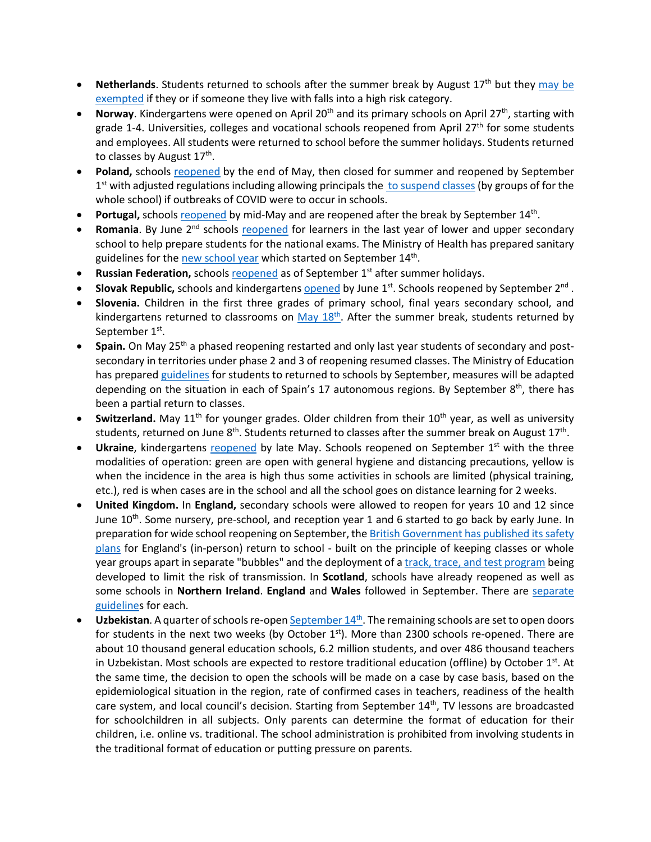- **Netherlands**. Students returned to schools after the summer break by August 17<sup>th</sup> but they may be [exempted](https://www.government.nl/topics/coronavirus-covid-19/questions-about-coronavirus-and-the-education-sector) if they or if someone they live with falls into a high risk category.
- **Norway**. Kindergartens were opened on April 20<sup>th</sup> and its primary schools on April 27<sup>th</sup>, starting with grade 1-4. Universities, colleges and vocational schools reopened from April 27<sup>th</sup> for some students and employees. All students were returned to school before the summer holidays. Students returned to classes by August  $17<sup>th</sup>$ .
- **Poland,** schools [reopened](https://www.bbc.com/news/world-europe-52796699) by the end of May, then closed for summer and reopened by September  $1<sup>st</sup>$  with adjusted regulations including allowing principals the  $\overline{t}$  [to suspend classes](https://www.gov.pl/web/edukacja/bezpieczny-powrot-do-szkol-dzialania-men-w-organizacji-roku-szkolnego-20202021-w-warunkach-epidemii) (by groups of for the whole school) if outbreaks of COVID were to occur in schools.
- **Portugal, school[s reopened](https://www.theportugalnews.com/news/restaurants-cafes-daycare-centres-and-schools-reopen-on-monday/54168) by mid-May and are reopened after the break by September 14th.**
- **Romania**. By June 2<sup>nd</sup> schools [reopened](https://www.cedefop.europa.eu/en/news-and-press/news/romania-responses-covid-19-outbreak) for learners in the last year of lower and upper secondary school to help prepare students for the national exams. The Ministry of Health has prepared sanitary guidelines for th[e new school year](https://www.romania-insider.com/health-ministry-safety-rules-schools) which started on September 14th.
- **Russian Federation, schools [reopened](https://www.themoscowtimes.com/2020/09/01/russian-schools-reopen-as-coronavirus-cases-climb-a71301) as of September 1st after summer holidays.**
- **Slovak Republic,** schools and kindergartens [opened](https://domov.sme.sk/c/22406854/koronavirus-slovensko-uvolnenie-dalsich-opatreni.html) by June 1<sup>st</sup>. Schools reopened by September 2<sup>nd</sup>.
- **Slovenia.** Children in the first three grades of primary school, final years secondary school, and kindergartens returned to classrooms on  $\frac{May 18^{th}}{18}$ . After the summer break, students returned by September 1<sup>st</sup>.
- **Spain.** On May 25th a phased reopening restarted and only last year students of secondary and postsecondary in territories under phase 2 and 3 of reopening resumed classes. The Ministry of Education has prepare[d guidelines](https://www.lamoncloa.gob.es/serviciosdeprensa/notasprensa/educacion/Documents/2020/230620-Guia-educacion.pdf) for students to returned to schools by September, measures will be adapted depending on the situation in each of Spain's 17 autonomous regions. By September  $8<sup>th</sup>$ , there has been a partial return to classes.
- **Switzerland.** May 11<sup>th</sup> for younger grades. Older children from their 10<sup>th</sup> year, as well as university students, returned on June  $8<sup>th</sup>$ . Students returned to classes after the summer break on August 17<sup>th</sup>.
- Ukraine, kindergartens [reopened](https://www.thenationalherald.com/coronavirus/arthro/schools_subways_open_in_ukraine_as_lockdown_lifted-347116/) by late May. Schools reopened on September 1<sup>st</sup> with the three modalities of operation: green are open with general hygiene and distancing precautions, yellow is when the incidence in the area is high thus some activities in schools are limited (physical training, etc.), red is when cases are in the school and all the school goes on distance learning for 2 weeks.
- **United Kingdom.** In **England,** secondary schools were allowed to reopen for years 10 and 12 since June 10<sup>th</sup>. Some nursery, pre-school, and reception year 1 and 6 started to go back by early June. In preparation for wide school reopening on September, th[e British Government has published its safety](https://www.bbc.com/news/education-53253722)  [plans](https://www.bbc.com/news/education-53253722) for England's (in-person) return to school - built on the principle of keeping classes or whole year groups apart in separate "bubbles" and the deployment of [a track, trace, and test program](https://www.bbc.com/news/uk-northern-ireland-53578636) being developed to limit the risk of transmission. In **Scotland**, schools have already reopened as well as some schools in **Northern Ireland**. **England** and **Wales** followed in September. There are [separate](https://www.bbc.com/news/education-51643556)  [guidelines](https://www.bbc.com/news/education-51643556) for each.
- **Uzbekistan**. A quarter of schools re-open September 14<sup>th</sup>. The remaining schools are set to open doors for students in the next two weeks (by October  $1<sup>st</sup>$ ). More than 2300 schools re-opened. There are about 10 thousand general education schools, 6.2 million students, and over 486 thousand teachers in Uzbekistan. Most schools are expected to restore traditional education (offline) by October  $1^{st}$ . At the same time, the decision to open the schools will be made on a case by case basis, based on the epidemiological situation in the region, rate of confirmed cases in teachers, readiness of the health care system, and local council's decision. Starting from September  $14<sup>th</sup>$ , TV lessons are broadcasted for schoolchildren in all subjects. Only parents can determine the format of education for their children, i.e. online vs. traditional. The school administration is prohibited from involving students in the traditional format of education or putting pressure on parents.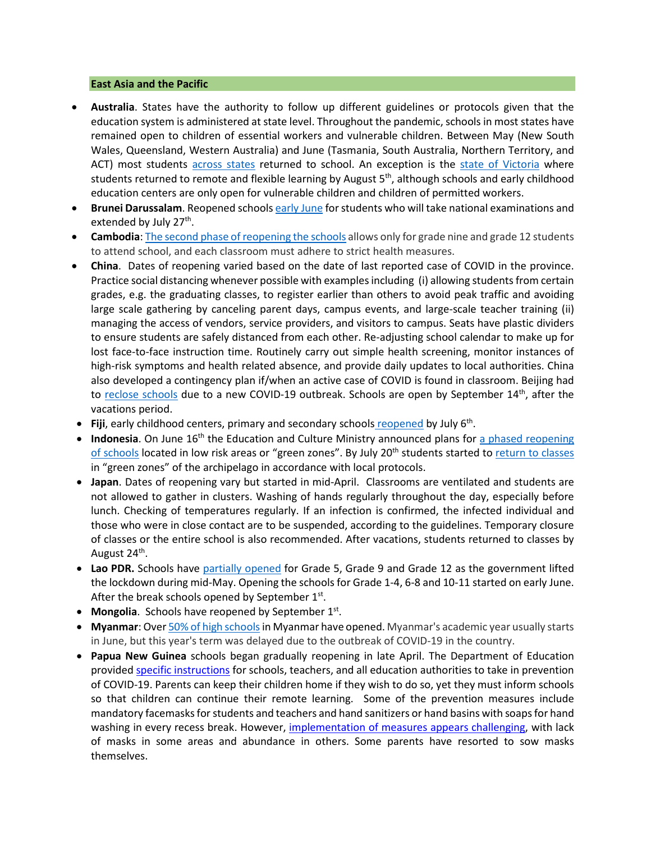## **East Asia and the Pacific**

- **Australia**. States have the authority to follow up different guidelines or protocols given that the education system is administered at state level. Throughout the pandemic, schools in most states have remained open to children of essential workers and vulnerable children. Between May (New South Wales, Queensland, Western Australia) and June (Tasmania, South Australia, Northern Territory, and ACT) most students [across states](https://www.theguardian.com/australia-news/2020/aug/26/australia-covid-19-lockdown-rules-coronavirus-restrictions-by-state-how-far-can-travel-interstate-border-social-distancing-nsw-victoria-vic-queensland-qld-wa-sa-act-how-many-people-over-house) returned to school. An exception is the [state of Victoria](https://www.education.vic.gov.au/about/department/Pages/coronavirus.aspx) where students returned to remote and flexible learning by August  $5<sup>th</sup>$ , although schools and early childhood education centers are only open for vulnerable children and children of permitted workers.
- **Brunei Darussalam**. Reopened school[s early June](https://thescoop.co/2020/05/21/brunei-partially-reopens-schools-on-june-2-as-coronavirus-concerns-ease/) for students who will take national examinations and extended by July 27<sup>th</sup>.
- **Cambodia**[: The second phase of reopening the schools](https://www.khmertimeskh.com/50761521/schools-across-cambodia-reopen/) allows only for grade nine and grade 12 students to attend school, and each classroom must adhere to strict health measures.
- **China**. Dates of reopening varied based on the date of last reported case of COVID in the province. Practice social distancing whenever possible with examples including (i) allowing students from certain grades, e.g. the graduating classes, to register earlier than others to avoid peak traffic and avoiding large scale gathering by canceling parent days, campus events, and large-scale teacher training (ii) managing the access of vendors, service providers, and visitors to campus. Seats have plastic dividers to ensure students are safely distanced from each other. Re-adjusting school calendar to make up for lost face-to-face instruction time. Routinely carry out simple health screening, monitor instances of high-risk symptoms and health related absence, and provide daily updates to local authorities. China also developed a contingency plan if/when an active case of COVID is found in classroom. Beijing had to [reclose schools](https://www.nytimes.com/2020/06/17/world/asia/coronavirus-beijing-china.html) due to a new COVID-19 outbreak. Schools are open by September 14<sup>th</sup>, after the vacations period.
- **Fiji**, early childhood centers, primary and secondary schools [reopened](https://www.fbcnews.com.fj/news/covid-19/decision-to-reopen-schools-not-rushed/) by July 6th.
- **Indonesia**. On June 16<sup>th</sup> the Education and Culture Ministry announced plans for a phased reopening [of schools](https://www.thejakartapost.com/news/2020/06/16/indonesia-to-allow-phased-reopening-of-schools-in-covid-19-green-zones-minister.html) located in low risk areas or "green zones". By July 20<sup>th</sup> students started to [return to classes](https://www.thejakartapost.com/news/2020/07/16/schools-could-become-new-clusters-of-covid-19-transmission-indonesian-red-cross.html) in "green zones" of the archipelago in accordance with local protocols.
- **Japan**. Dates of reopening vary but started in mid-April. Classrooms are ventilated and students are not allowed to gather in clusters. Washing of hands regularly throughout the day, especially before lunch. Checking of temperatures regularly. If an infection is confirmed, the infected individual and those who were in close contact are to be suspended, according to the guidelines. Temporary closure of classes or the entire school is also recommended. After vacations, students returned to classes by August 24<sup>th</sup>.
- **Lao PDR.** Schools have [partially opened](https://www.unicef.org/laos/stories/safely-back-school) for Grade 5, Grade 9 and Grade 12 as the government lifted the lockdown during mid-May. Opening the schools for Grade 1-4, 6-8 and 10-11 started on early June. After the break schools opened by September  $1<sup>st</sup>$ .
- **Mongolia**. Schools have reopened by September 1<sup>st</sup>.
- **Myanmar**: Over 50% [of high schoolsi](https://www.tribuneindia.com/news/schools/over-50-high-schools-reopen-in-myanmar-126011)n Myanmar have opened. Myanmar's academic year usually starts in June, but this year's term was delayed due to the outbreak of COVID-19 in the country.
- **Papua New Guinea** schools began gradually reopening in late April. The Department of Education provided [specific instructions](https://covid19.info.gov.pg/files/28042020/Secretary%20Circular%20Instruction%205%20of%202020.pdf.pdf) for schools, teachers, and all education authorities to take in prevention of COVID-19. Parents can keep their children home if they wish to do so, yet they must inform schools so that children can continue their remote learning. Some of the prevention measures include mandatory facemasks for students and teachers and hand sanitizers or hand basins with soaps for hand washing in every recess break. However, [implementation of measures appears challenging,](https://www.rnz.co.nz/international/pacific-news/416597/png-schools-adjust-to-new-normal) with lack of masks in some areas and abundance in others. Some parents have resorted to sow masks themselves.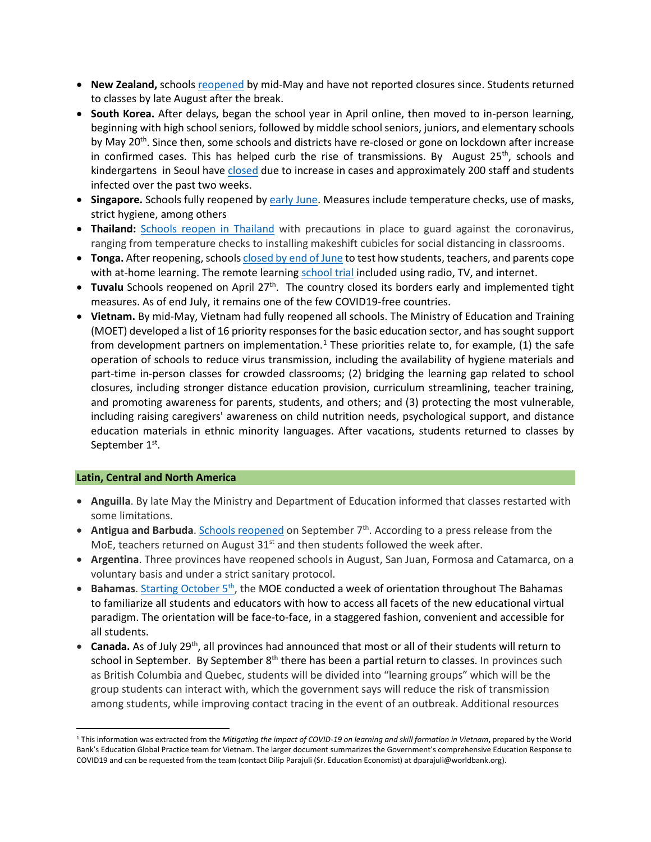- New Zealand, schools [reopened](https://www.theguardian.com/world/2020/may/11/ardern-announces-new-zealand-will-reopen-schools-offices-and-restaurants-this-week) by mid-May and have not reported closures since. Students returned to classes by late August after the break.
- **South Korea.** After delays, began the school year in April online, then moved to in-person learning, beginning with high school seniors, followed by middle school seniors, juniors, and elementary schools by May  $20<sup>th</sup>$ . Since then, some schools and districts have re-closed or gone on lockdown after increase in confirmed cases. This has helped curb the rise of transmissions. By August  $25<sup>th</sup>$ , schools and kindergartens in Seoul have [closed](https://www.bbc.com/news/world-asia-53901707) due to increase in cases and approximately 200 staff and students infected over the past two weeks.
- **Singapore.** Schools fully reopened b[y early June.](https://www.usnews.com/news/world/articles/2020-06-02/schools-reopen-as-singapore-eases-lockdown-restrictions) Measures include temperature checks, use of masks, strict hygiene, among others
- **Thailand:** [Schools reopen in Thailand](https://www.reuters.com/article/us-health-coronavirus-thailand-school/schools-reopen-across-thailand-with-temperature-checks-masks-idUSKBN24253A) with precautions in place to guard against the coronavirus, ranging from temperature checks to installing makeshift cubicles for social distancing in classrooms.
- **Tonga.** After reopening, school[s closed by end of June](https://www.theguardian.com/world/2020/jun/17/coronavirus-in-the-pacific-weekly-briefing) to test how students, teachers, and parents cope with at-home learning. The remote learnin[g school trial](https://matangitonga.to/2020/06/30/students-enjoy-home-school-trial) included using radio, TV, and internet.
- **Tuvalu** Schools reopened on April 27<sup>th</sup>. The country closed its borders early and implemented tight measures. As of end July, it remains one of the few COVID19-free countries.
- **Vietnam.** By mid-May, Vietnam had fully reopened all schools. The Ministry of Education and Training (MOET) developed a list of 16 priority responses for the basic education sector, and has sought support from development partners on implementation.<sup>[1](#page-8-0)</sup> These priorities relate to, for example, (1) the safe operation of schools to reduce virus transmission, including the availability of hygiene materials and part-time in-person classes for crowded classrooms; (2) bridging the learning gap related to school closures, including stronger distance education provision, curriculum streamlining, teacher training, and promoting awareness for parents, students, and others; and (3) protecting the most vulnerable, including raising caregivers' awareness on child nutrition needs, psychological support, and distance education materials in ethnic minority languages. After vacations, students returned to classes by September 1st.

## **Latin, Central and North America**

- **Anguilla**. By late May the Ministry and Department of Education informed that classes restarted with some limitations.
- **Antigua and Barbuda**. [Schools reopened](https://268today.com/local-news/schools-in-antigua-and-barbuda-will-reopen-on-september-7/#:%7E:text=Education%20Michael%20Browne.-,Schools%20in%20Antigua%20and%20Barbuda%20will%20reopen%20on%20September%207,7.) on September 7<sup>th</sup>. According to a press release from the MoE, teachers returned on August  $31<sup>st</sup>$  and then students followed the week after.
- **Argentina**. Three provinces have reopened schools in August, San Juan, Formosa and Catamarca, on a voluntary basis and under a strict sanitary protocol.
- **Bahamas**[. Starting October 5th,](http://www.thebahamasweekly.com/publish/bis-news-updates/Minister_of_Education_gives_update_on_reopening_of_schools66878.shtml) the MOE conducted a week of orientation throughout The Bahamas to familiarize all students and educators with how to access all facets of the new educational virtual paradigm. The orientation will be face-to-face, in a staggered fashion, convenient and accessible for all students.
- **Canada.** As of July 29th, all provinces had announced that most or all of their students will return to school in September. By September  $8<sup>th</sup>$  there has been a partial return to classes. In provinces such as British Columbia and Quebec, students will be divided into "learning groups" which will be the group students can interact with, which the government says will reduce the risk of transmission among students, while improving contact tracing in the event of an outbreak. Additional resources

<span id="page-8-0"></span><sup>1</sup> This information was extracted from the *Mitigating the impact of COVID-19 on learning and skill formation in Vietnam***,** prepared by the World Bank's Education Global Practice team for Vietnam. The larger document summarizes the Government's comprehensive Education Response to COVID19 and can be requested from the team (contact Dilip Parajuli (Sr. Education Economist) at dparajuli@worldbank.org).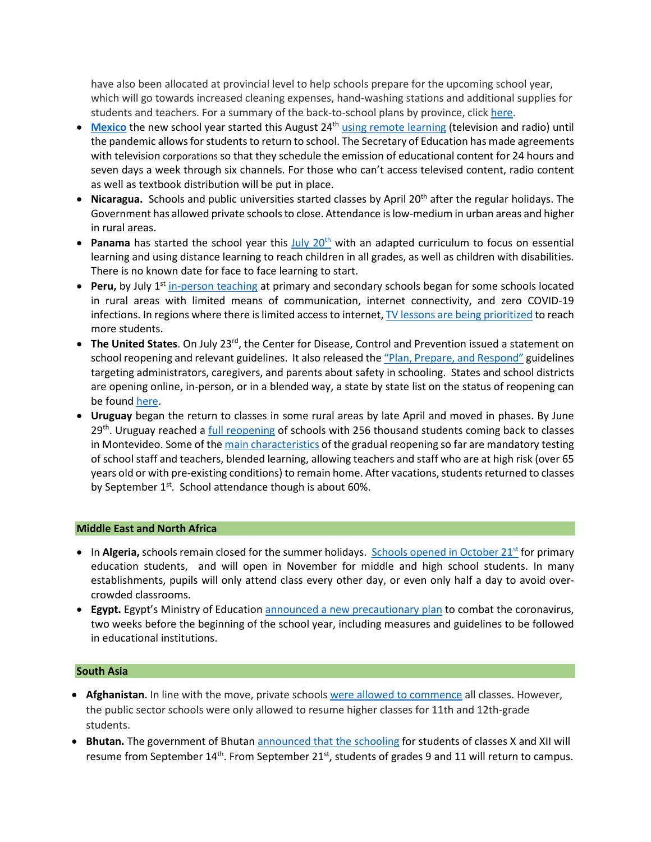have also been allocated at provincial level to help schools prepare for the upcoming school year, which will go towards increased cleaning expenses, hand-washing stations and additional supplies for students and teachers. For a summary of the back-to-school plans by province, clic[k here.](https://www.ctvnews.ca/who-heads-back-to-class-in-september-a-look-at-school-reopenings-by-province-1.5042739)

- [Mexico](https://listindiario.com/las-mundiales/2020/08/03/629094/mexico-comenzara-el-nuevo-curso-escolar-a-distancia-el-24-de-agosto) the new school year started this August 24<sup>th</sup> [using remote learning](https://www.infobae.com/america/mexico/2020/08/13/sep-este-es-el-calendario-escolar-oficial-para-educacion-basica/#:%7E:text=El%20ciclo%20escolar%202020%2D2021,sin%20clases%20por%20labores%20administrativas.) (television and radio) until the pandemic allows for students to return to school. The Secretary of Education has made agreements with television corporations so that they schedule the emission of educational content for 24 hours and seven days a week through six channels. For those who can't access televised content, radio content as well as textbook distribution will be put in place.
- **Nicaragua.** Schools and public universities started classes by April 20<sup>th</sup> after the regular holidays. The Government has allowed private schools to close. Attendance is low-medium in urban areas and higher in rural areas.
- **Panama** has started the school year this July 20<sup>th</sup> with an adapted curriculum to focus on essential learning and using distance learning to reach children in all grades, as well as children with disabilities. There is no known date for face to face learning to start.
- **Peru,** by July 1<sup>st</sup> [in-person teaching](https://pe.usembassy.gov/covid-19-information/) at primary and secondary schools began for some schools located in rural areas with limited means of communication, internet connectivity, and zero COVID-19 infections. In regions where there is limited access to internet[, TV lessons are being prioritized](https://www.nytimes.com/es/2020/08/17/espanol/educacion-television.html) to reach more students.
- **The United States**. On July 23<sup>rd</sup>, the Center for Disease, Control and Prevention issued a statement on school reopening and relevant guidelines. It also released th[e "Plan, Prepare, and Respond"](https://www.cdc.gov/coronavirus/2019-ncov/community/schools-childcare/index.html) guidelines targeting administrators, caregivers, and parents about safety in schooling. States and school districts are opening online, in-person, or in a blended way, a state by state list on the status of reopening can be found [here.](https://www.today.com/parents/when-will-school-open-here-s-state-state-list-t179718)
- **Uruguay** [began the return to classes](https://cnnespanol.cnn.com/video/escuelas-uruguay-normalidad-apertura-clases-adaptacion-perspectivas-buenos-aires-pkg-dario-klein/) in some rural areas by late April and moved in phases. By June  $29<sup>th</sup>$ . Uruguay reached a [full reopening](https://www.infobae.com/america/america-latina/2020/06/29/uruguay-completa-la-reapertura-de-las-escuelas-256-mil-alumnos-vuelven-a-clase-en-montevideo/) of schools with 256 thousand students coming back to classes in Montevideo. Some of th[e main characteristics](https://www.bbc.com/mundo/noticias-america-latina-53579960) of the gradual reopening so far are mandatory testing of school staff and teachers, blended learning, allowing teachers and staff who are at high risk (over 65 years old or with pre-existing conditions) to remain home. After vacations, students returned to classes by September  $1^{st}$ . School attendance though is about 60%.

## **Middle East and North Africa**

- In **Algeria,** schools remain closed for the summer holidays. Schools opened in October 21<sup>st</sup> for primary education students, and will open in November for middle and high school students. In many establishments, pupils will only attend class every other day, or even only half a day to avoid overcrowded classrooms.
- **Egypt.** Egypt's Ministry of Educatio[n announced a new precautionary plan](https://english.aawsat.com/home/article/2546856/egypt-announces-covid-19-plan-reopen-schools) to combat the coronavirus, two weeks before the beginning of the school year, including measures and guidelines to be followed in educational institutions.

## **South Asia**

- **Afghanistan**. In line with the move, private school[s were allowed to commence](https://www.aa.com.tr/en/asia-pacific/afghanistan-cautiously-begins-reopening-schools/1950178) all classes. However, the public sector schools were only allowed to resume higher classes for 11th and 12th-grade students.
- **Bhutan.** The government of Bhutan [announced that the schooling](http://www.xinhuanet.com/english/2020-09/11/c_139361780.htm) for students of classes X and XII will resume from September  $14<sup>th</sup>$ . From September  $21<sup>st</sup>$ , students of grades 9 and 11 will return to campus.